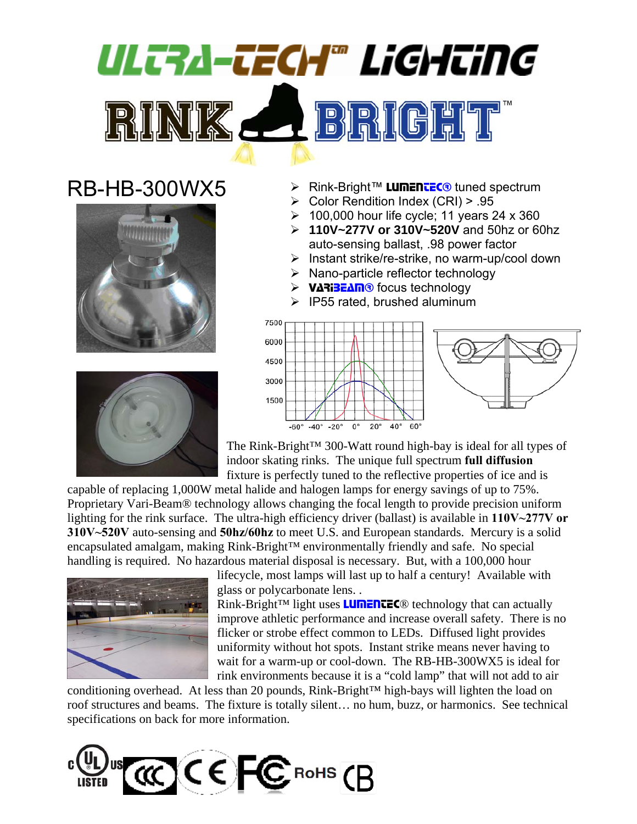# ULTRA-TECH® LiGHTiNG BRIGHT

## RB-HB-300WX5





- **EXAMENT Rink-Bright™ LUMENTEC®** tuned spectrum
- ¾ Color Rendition Index (CRI) > .95
- $\geq 100,000$  hour life cycle; 11 years 24 x 360
- ¾ **110V~277V or 310V~520V** and 50hz or 60hz auto-sensing ballast, .98 power factor
- ¾ Instant strike/re-strike, no warm-up/cool down
- $\triangleright$  Nano-particle reflector technology
- > VARIBEAM® focus technology
- $\triangleright$  IP55 rated, brushed aluminum



The Rink-Bright™ 300-Watt round high-bay is ideal for all types of indoor skating rinks. The unique full spectrum **full diffusion** fixture is perfectly tuned to the reflective properties of ice and is

capable of replacing 1,000W metal halide and halogen lamps for energy savings of up to 75%. Proprietary Vari-Beam® technology allows changing the focal length to provide precision uniform lighting for the rink surface. The ultra-high efficiency driver (ballast) is available in **110V~277V or 310V~520V** auto-sensing and **50hz/60hz** to meet U.S. and European standards. Mercury is a solid encapsulated amalgam, making Rink-Bright™ environmentally friendly and safe. No special handling is required. No hazardous material disposal is necessary. But, with a 100,000 hour



lifecycle, most lamps will last up to half a century! Available with glass or polycarbonate lens. .

Rink-Bright™ light uses **LUMENTEC**® technology that can actually improve athletic performance and increase overall safety. There is no flicker or strobe effect common to LEDs. Diffused light provides uniformity without hot spots. Instant strike means never having to wait for a warm-up or cool-down. The RB-HB-300WX5 is ideal for rink environments because it is a "cold lamp" that will not add to air

conditioning overhead. At less than 20 pounds, Rink-Bright™ high-bays will lighten the load on roof structures and beams. The fixture is totally silent… no hum, buzz, or harmonics. See technical specifications on back for more information.